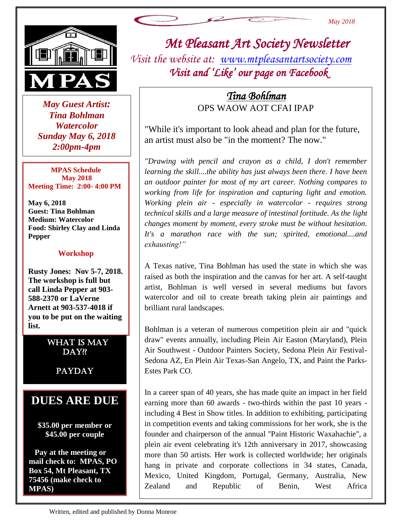

 *May Guest Artist: Tina Bohlman Watercolor Sunday May 6, 2018 2:00pm-4pm*

**MPAS Schedule May 2018 Meeting Time: 2:00- 4:00 PM**

**May 6, 2018 Guest: Tina Bohlman Medium: Watercolor Food: Shirley Clay and Linda Pepper**

#### **Workshop**

**Rusty Jones: Nov 5-7, 2018. The workshop is full but call Linda Pepper at 903- 588-2370 or LaVerne Arnett at 903-537-4018 if you to be put on the waiting list.**

> WHAT IS MAY DAY?

> > PAYDAY

#### **DUES ARE DUE**

**\$35.00 per member or \$45.00 per couple**

 **Pay at the meeting or mail check to: MPAS, PO Box 54, Mt Pleasant, TX 75456 (make check to MPAS)**



# *Mt Pleasant Art Society Newsletter Visit the website at: [www.mtpleasantartsociety.com](http://www.mtpleasantartsociety.com/)*

*Visit and 'Like' our page on Facebook* 

### *Tina Bohlman*  OPS WAOW AOT CFAI IPAP

"While it's important to look ahead and plan for the future, an artist must also be "in the moment? The now."

*"Drawing with pencil and crayon as a child, I don't remember learning the skill....the ability has just always been there. I have been an outdoor painter for most of my art career. Nothing compares to working from life for inspiration and capturing light and emotion. Working plein air - especially in watercolor - requires strong technical skills and a large measure of intestinal fortitude. As the light changes moment by moment, every stroke must be without hesitation. It's a marathon race with the sun; spirited, emotional....and exhausting!"* 

A Texas native, Tina Bohlman has used the state in which she was raised as both the inspiration and the canvas for her art. A self-taught artist, Bohlman is well versed in several mediums but favors watercolor and oil to create breath taking plein air paintings and brilliant rural landscapes.

Bohlman is a veteran of numerous competition plein air and "quick draw" events annually, including Plein Air Easton (Maryland), Plein Air Southwest - Outdoor Painters Society, Sedona Plein Air Festival-Sedona AZ, En Plein Air Texas-San Angelo, TX, and Paint the Parks-Estes Park CO.

In a career span of 40 years, she has made quite an impact in her field earning more than 60 awards - two-thirds within the past 10 years including 4 Best in Show titles. In addition to exhibiting, participating in competition events and taking commissions for her work, she is the founder and chairperson of the annual "Paint Historic Waxahachie", a plein air event celebrating it's 12th anniversary in 2017, showcasing more than 50 artists. Her work is collected worldwide; her originals hang in private and corporate collections in 34 states, Canada, Mexico, United Kingdom, Portugal, Germany, Australia, New Zealand and Republic of Benin, West Africa